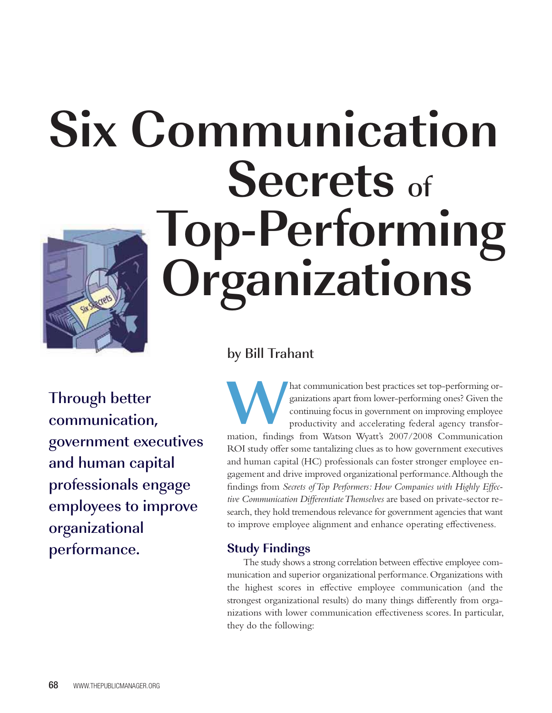# Six Communication Secrets of Top-Performing Organizations

# by Bill Trahant

Through better communication, government executives and human capital professionals engage employees to improve organizational performance.

Mat communication best practices set top-performing or-<br>
ganizations apart from lower-performing ones? Given the<br>
continuing focus in government on improving employee<br>
productivity and accelerating federal agency transforganizations apart from lower-performing ones? Given the continuing focus in government on improving employee productivity and accelerating federal agency transfor-ROI study offer some tantalizing clues as to how government executives and human capital (HC) professionals can foster stronger employee engagement and drive improved organizational performance.Although the findings from *Secrets of Top Performers: How Companies with Highly Effective Communication DifferentiateThemselves* are based on private-sector research, they hold tremendous relevance for government agencies that want to improve employee alignment and enhance operating effectiveness.

# Study Findings

The study shows a strong correlation between effective employee communication and superior organizational performance.Organizations with the highest scores in effective employee communication (and the strongest organizational results) do many things differently from organizations with lower communication effectiveness scores. In particular, they do the following: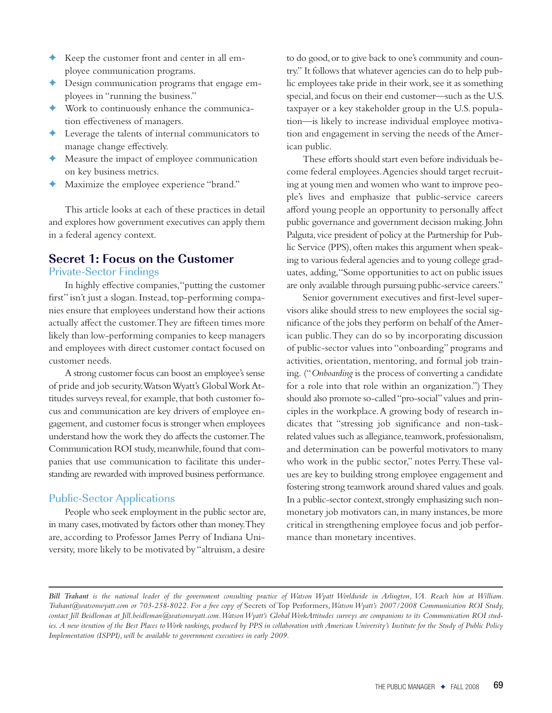- Keep the customer front and center in all employee communication programs.
- ✦ Design communication programs that engage employees in "running the business."
- ✦ Work to continuously enhance the communication effectiveness of managers.
- Leverage the talents of internal communicators to manage change effectively.
- Measure the impact of employee communication on key business metrics.
- Maximize the employee experience "brand."

This article looks at each of these practices in detail and explores how government executives can apply them in a federal agency context.

# Secret 1: Focus on the Customer

### Private-Sector Findings

In highly effective companies,"putting the customer first" isn't just a slogan. Instead, top-performing companies ensure that employees understand how their actions actually affect the customer.They are fifteen times more likely than low-performing companies to keep managers and employees with direct customer contact focused on customer needs.

A strong customer focus can boost an employee's sense of pride and job security.WatsonWyatt's GlobalWork Attitudes surveys reveal, for example, that both customer focus and communication are key drivers of employee engagement, and customer focus is stronger when employees understand how the work they do affects the customer.The Communication ROI study, meanwhile, found that companies that use communication to facilitate this understanding are rewarded with improved business performance.

#### Public-Sector Applications

People who seek employment in the public sector are, in many cases, motivated by factors other than money. They are, according to Professor James Perry of Indiana University, more likely to be motivated by "altruism, a desire

to do good, or to give back to one's community and country." It follows that whatever agencies can do to help public employees take pride in their work, see it as something special, and focus on their end customer—such as the U.S. taxpayer or a key stakeholder group in the U.S. population—is likely to increase individual employee motivation and engagement in serving the needs of the American public.

These efforts should start even before individuals become federal employees.Agencies should target recruiting at young men and women who want to improve people's lives and emphasize that public-service careers afford young people an opportunity to personally affect public governance and government decision making. John Palguta, vice president of policy at the Partnership for Public Service (PPS), often makes this argument when speaking to various federal agencies and to young college graduates, adding,"Some opportunities to act on public issues are only available through pursuing public-service careers."

Senior government executives and first-level supervisors alike should stress to new employees the social significance of the jobs they perform on behalf of the American public.They can do so by incorporating discussion of public-sector values into "onboarding" programs and activities, orientation, mentoring, and formal job training. ("*Onboarding* is the process of converting a candidate for a role into that role within an organization.") They should also promote so-called "pro-social" values and principles in the workplace.A growing body of research indicates that "stressing job significance and non-taskrelated values such as allegiance, teamwork, professionalism, and determination can be powerful motivators to many who work in the public sector," notes Perry.These values are key to building strong employee engagement and fostering strong teamwork around shared values and goals. In a public-sector context, strongly emphasizing such nonmonetary job motivators can,in many instances, be more critical in strengthening employee focus and job performance than monetary incentives.

*Bill Trahant is the national leader of the government consulting practice of Watson Wyatt Worldwide in Arlington, VA. Reach him at William. Trahant@watsonwyatt.com or 703-258-8022. For a free copy of* Secrets of Top Performers*,Watson Wyatt's 2007/2008 Communication ROI Study, contact Jill Beidleman at Jill.beidleman@watsonwyatt.com.WatsonWyatt's GlobalWorkAttitudes surveys are companions to its Communication ROI studies. A new iteration of the Best Places toWork rankings, produced by PPS in collaboration with American University's Institute for the Study of Public Policy Implementation (ISPPI), will be available to government executives in early 2009.*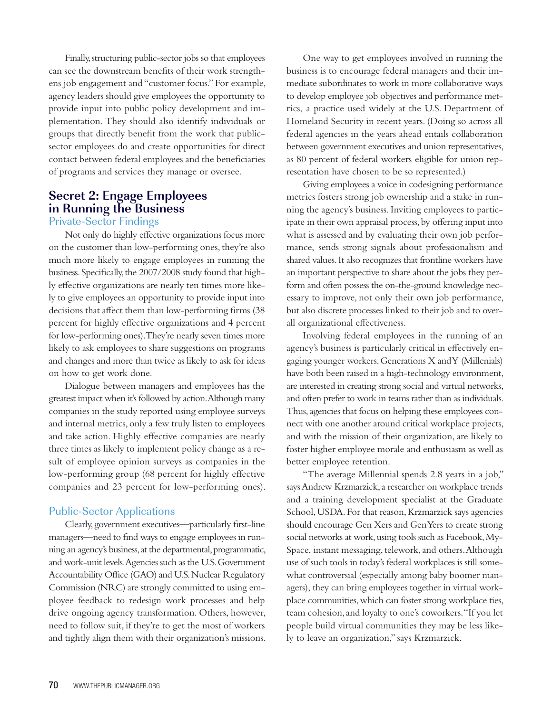Finally, structuring public-sector jobs so that employees can see the downstream benefits of their work strengthens job engagement and "customer focus." For example, agency leaders should give employees the opportunity to provide input into public policy development and implementation. They should also identify individuals or groups that directly benefit from the work that publicsector employees do and create opportunities for direct contact between federal employees and the beneficiaries of programs and services they manage or oversee.

# Secret 2: Engage Employees in Running the Business

#### Private-Sector Findings

Not only do highly effective organizations focus more on the customer than low-performing ones, they're also much more likely to engage employees in running the business.Specifically,the 2007/2008 study found that highly effective organizations are nearly ten times more likely to give employees an opportunity to provide input into decisions that affect them than low-performing firms (38 percent for highly effective organizations and 4 percent for low-performing ones).They're nearly seven times more likely to ask employees to share suggestions on programs and changes and more than twice as likely to ask for ideas on how to get work done.

Dialogue between managers and employees has the greatest impact when it's followed by action.Although many companies in the study reported using employee surveys and internal metrics, only a few truly listen to employees and take action. Highly effective companies are nearly three times as likely to implement policy change as a result of employee opinion surveys as companies in the low-performing group (68 percent for highly effective companies and 23 percent for low-performing ones).

## Public-Sector Applications

Clearly,government executives—particularly first-line managers—need to find ways to engage employees in running an agency's business, at the departmental, programmatic, and work-unit levels.Agencies such as the U.S.Government Accountability Office (GAO) and U.S. Nuclear Regulatory Commission (NRC) are strongly committed to using employee feedback to redesign work processes and help drive ongoing agency transformation. Others, however, need to follow suit, if they're to get the most of workers and tightly align them with their organization's missions.

One way to get employees involved in running the business is to encourage federal managers and their immediate subordinates to work in more collaborative ways to develop employee job objectives and performance metrics, a practice used widely at the U.S. Department of Homeland Security in recent years. (Doing so across all federal agencies in the years ahead entails collaboration between government executives and union representatives, as 80 percent of federal workers eligible for union representation have chosen to be so represented.)

Giving employees a voice in codesigning performance metrics fosters strong job ownership and a stake in running the agency's business. Inviting employees to participate in their own appraisal process, by offering input into what is assessed and by evaluating their own job performance, sends strong signals about professionalism and shared values. It also recognizes that frontline workers have an important perspective to share about the jobs they perform and often possess the on-the-ground knowledge necessary to improve, not only their own job performance, but also discrete processes linked to their job and to overall organizational effectiveness.

Involving federal employees in the running of an agency's business is particularly critical in effectively engaging younger workers.Generations X andY (Millenials) have both been raised in a high-technology environment, are interested in creating strong social and virtual networks, and often prefer to work in teams rather than as individuals. Thus, agencies that focus on helping these employees connect with one another around critical workplace projects, and with the mission of their organization, are likely to foster higher employee morale and enthusiasm as well as better employee retention.

"The average Millennial spends 2.8 years in a job," says Andrew Krzmarzick, a researcher on workplace trends and a training development specialist at the Graduate School, USDA. For that reason, Krzmarzick says agencies should encourage Gen Xers and GenYers to create strong social networks at work, using tools such as Facebook,My-Space, instant messaging, telework, and others. Although use of such tools in today's federal workplaces is still somewhat controversial (especially among baby boomer managers), they can bring employees together in virtual workplace communities, which can foster strong workplace ties, team cohesion, and loyalty to one's coworkers."If you let people build virtual communities they may be less likely to leave an organization," says Krzmarzick.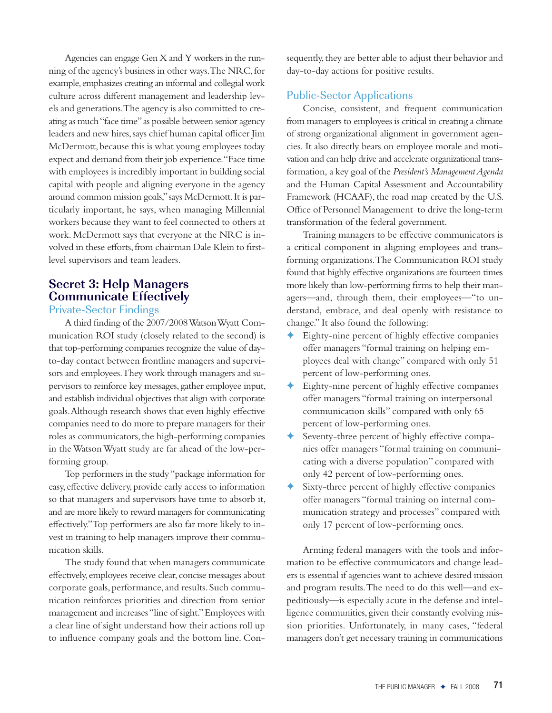Agencies can engage Gen X and Y workers in the running of the agency's business in other ways. The NRC, for example,emphasizes creating an informal and collegial work culture across different management and leadership levels and generations.The agency is also committed to creating as much"face time" as possible between senior agency leaders and new hires, says chief human capital officer Jim McDermott, because this is what young employees today expect and demand from their job experience."Face time with employees is incredibly important in building social capital with people and aligning everyone in the agency around common mission goals," says McDermott. It is particularly important, he says, when managing Millennial workers because they want to feel connected to others at work. McDermott says that everyone at the NRC is involved in these efforts, from chairman Dale Klein to firstlevel supervisors and team leaders.

# Secret 3: Help Managers Communicate Effectively

Private-Sector Findings

A third finding of the 2007/2008WatsonWyatt Communication ROI study (closely related to the second) is that top-performing companies recognize the value of dayto-day contact between frontline managers and supervisors and employees.They work through managers and supervisors to reinforce key messages,gather employee input, and establish individual objectives that align with corporate goals.Although research shows that even highly effective companies need to do more to prepare managers for their roles as communicators, the high-performing companies in theWatsonWyatt study are far ahead of the low-performing group.

Top performers in the study"package information for easy, effective delivery, provide early access to information so that managers and supervisors have time to absorb it, and are more likely to reward managers for communicating effectively."Top performers are also far more likely to invest in training to help managers improve their communication skills.

The study found that when managers communicate effectively, employees receive clear, concise messages about corporate goals, performance, and results. Such communication reinforces priorities and direction from senior management and increases "line of sight." Employees with a clear line of sight understand how their actions roll up to influence company goals and the bottom line. Consequently, they are better able to adjust their behavior and day-to-day actions for positive results.

## Public-Sector Applications

Concise, consistent, and frequent communication from managers to employees is critical in creating a climate of strong organizational alignment in government agencies. It also directly bears on employee morale and motivation and can help drive and accelerate organizational transformation, a key goal of the President's Management Agenda and the Human Capital Assessment and Accountability Framework (HCAAF), the road map created by the U.S. Office of Personnel Management to drive the long-term transformation of the federal government.

Training managers to be effective communicators is a critical component in aligning employees and transforming organizations.The Communication ROI study found that highly effective organizations are fourteen times more likely than low-performing firms to help their managers—and, through them, their employees—"to understand, embrace, and deal openly with resistance to change." It also found the following:

- Eighty-nine percent of highly effective companies offer managers "formal training on helping employees deal with change" compared with only 51 percent of low-performing ones.
- ✦ Eighty-nine percent of highly effective companies offer managers "formal training on interpersonal communication skills" compared with only 65 percent of low-performing ones.
- Seventy-three percent of highly effective companies offer managers "formal training on communicating with a diverse population" compared with only 42 percent of low-performing ones.
- ✦ Sixty-three percent of highly effective companies offer managers "formal training on internal communication strategy and processes" compared with only 17 percent of low-performing ones.

Arming federal managers with the tools and information to be effective communicators and change leaders is essential if agencies want to achieve desired mission and program results.The need to do this well—and expeditiously—is especially acute in the defense and intelligence communities, given their constantly evolving mission priorities. Unfortunately, in many cases, "federal managers don't get necessary training in communications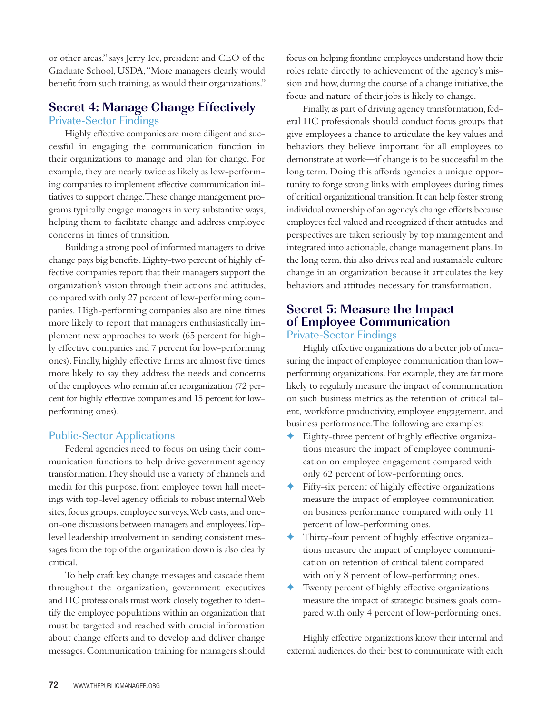or other areas," says Jerry Ice, president and CEO of the Graduate School, USDA,"More managers clearly would benefit from such training, as would their organizations."

## Secret 4: Manage Change Effectively Private-Sector Findings

Highly effective companies are more diligent and successful in engaging the communication function in their organizations to manage and plan for change. For example, they are nearly twice as likely as low-performing companies to implement effective communication initiatives to support change.These change management programs typically engage managers in very substantive ways, helping them to facilitate change and address employee concerns in times of transition.

Building a strong pool of informed managers to drive change pays big benefits. Eighty-two percent of highly effective companies report that their managers support the organization's vision through their actions and attitudes, compared with only 27 percent of low-performing companies. High-performing companies also are nine times more likely to report that managers enthusiastically implement new approaches to work (65 percent for highly effective companies and 7 percent for low-performing ones). Finally, highly effective firms are almost five times more likely to say they address the needs and concerns of the employees who remain after reorganization (72 percent for highly effective companies and 15 percent for lowperforming ones).

#### Public-Sector Applications

Federal agencies need to focus on using their communication functions to help drive government agency transformation.They should use a variety of channels and media for this purpose, from employee town hall meetings with top-level agency officials to robust internalWeb sites, focus groups, employee surveys, Web casts, and oneon-one discussions between managers and employees.Toplevel leadership involvement in sending consistent messages from the top of the organization down is also clearly critical.

To help craft key change messages and cascade them throughout the organization, government executives and HC professionals must work closely together to identify the employee populations within an organization that must be targeted and reached with crucial information about change efforts and to develop and deliver change messages. Communication training for managers should focus on helping frontline employees understand how their roles relate directly to achievement of the agency's mission and how, during the course of a change initiative, the focus and nature of their jobs is likely to change.

Finally, as part of driving agency transformation, federal HC professionals should conduct focus groups that give employees a chance to articulate the key values and behaviors they believe important for all employees to demonstrate at work—if change is to be successful in the long term. Doing this affords agencies a unique opportunity to forge strong links with employees during times of critical organizational transition. It can help foster strong individual ownership of an agency's change efforts because employees feel valued and recognized if their attitudes and perspectives are taken seriously by top management and integrated into actionable, change management plans. In the long term, this also drives real and sustainable culture change in an organization because it articulates the key behaviors and attitudes necessary for transformation.

## Secret 5: Measure the Impact of Employee Communication Private-Sector Findings

Highly effective organizations do a better job of measuring the impact of employee communication than lowperforming organizations. For example, they are far more likely to regularly measure the impact of communication on such business metrics as the retention of critical talent, workforce productivity, employee engagement, and business performance.The following are examples:

- Eighty-three percent of highly effective organizations measure the impact of employee communication on employee engagement compared with only 62 percent of low-performing ones.
- ✦ Fifty-six percent of highly effective organizations measure the impact of employee communication on business performance compared with only 11 percent of low-performing ones.
- Thirty-four percent of highly effective organizations measure the impact of employee communication on retention of critical talent compared with only 8 percent of low-performing ones.
- Twenty percent of highly effective organizations measure the impact of strategic business goals compared with only 4 percent of low-performing ones.

Highly effective organizations know their internal and external audiences, do their best to communicate with each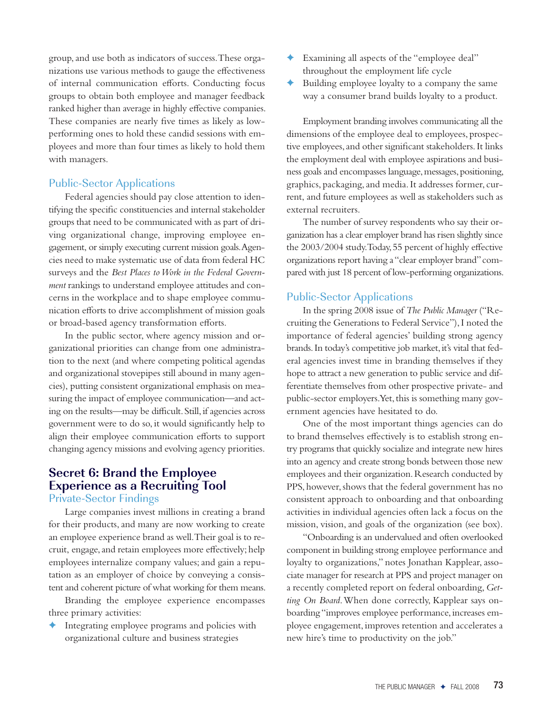group, and use both as indicators of success.These organizations use various methods to gauge the effectiveness of internal communication efforts. Conducting focus groups to obtain both employee and manager feedback ranked higher than average in highly effective companies. These companies are nearly five times as likely as lowperforming ones to hold these candid sessions with employees and more than four times as likely to hold them with managers.

#### Public-Sector Applications

Federal agencies should pay close attention to identifying the specific constituencies and internal stakeholder groups that need to be communicated with as part of driving organizational change, improving employee engagement, or simply executing current mission goals.Agencies need to make systematic use of data from federal HC surveys and the *Best Places toWork in the Federal Government* rankings to understand employee attitudes and concerns in the workplace and to shape employee communication efforts to drive accomplishment of mission goals or broad-based agency transformation efforts.

In the public sector, where agency mission and organizational priorities can change from one administration to the next (and where competing political agendas and organizational stovepipes still abound in many agencies), putting consistent organizational emphasis on measuring the impact of employee communication—and acting on the results—may be difficult. Still, if agencies across government were to do so, it would significantly help to align their employee communication efforts to support changing agency missions and evolving agency priorities.

## Secret 6: Brand the Employee Experience as a Recruiting Tool Private-Sector Findings

Large companies invest millions in creating a brand for their products, and many are now working to create an employee experience brand as well.Their goal is to recruit, engage, and retain employees more effectively; help employees internalize company values; and gain a reputation as an employer of choice by conveying a consistent and coherent picture of what working for them means.

Branding the employee experience encompasses three primary activities:

Integrating employee programs and policies with organizational culture and business strategies

- Examining all aspects of the "employee deal" throughout the employment life cycle
- Building employee loyalty to a company the same way a consumer brand builds loyalty to a product.

Employment branding involves communicating all the dimensions of the employee deal to employees, prospective employees, and other significant stakeholders. It links the employment deal with employee aspirations and business goals and encompasses language, messages, positioning, graphics, packaging, and media. It addresses former, current, and future employees as well as stakeholders such as external recruiters.

The number of survey respondents who say their organization has a clear employer brand has risen slightly since the 2003/2004 study.Today,55 percent of highly effective organizations report having a"clear employer brand"compared with just 18 percent of low-performing organizations.

#### Public-Sector Applications

In the spring 2008 issue of *The Public Manager* ("Recruiting the Generations to Federal Service"), I noted the importance of federal agencies' building strong agency brands. In today's competitive job market, it's vital that federal agencies invest time in branding themselves if they hope to attract a new generation to public service and differentiate themselves from other prospective private- and public-sector employers. Yet, this is something many government agencies have hesitated to do.

One of the most important things agencies can do to brand themselves effectively is to establish strong entry programs that quickly socialize and integrate new hires into an agency and create strong bonds between those new employees and their organization.Research conducted by PPS, however, shows that the federal government has no consistent approach to onboarding and that onboarding activities in individual agencies often lack a focus on the mission, vision, and goals of the organization (see box).

"Onboarding is an undervalued and often overlooked component in building strong employee performance and loyalty to organizations," notes Jonathan Kapplear, associate manager for research at PPS and project manager on a recently completed report on federal onboarding,*Getting On Board*.When done correctly, Kapplear says onboarding "improves employee performance, increases employee engagement, improves retention and accelerates a new hire's time to productivity on the job."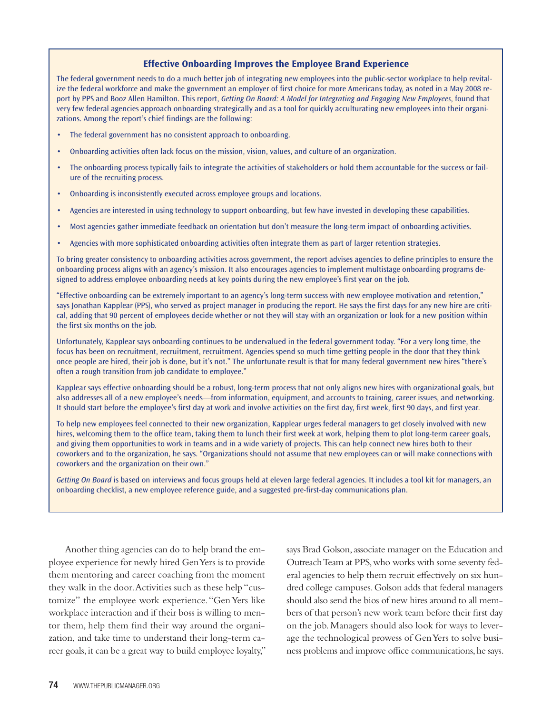#### **Effective Onboarding Improves the Employee Brand Experience**

The federal government needs to do a much better job of integrating new employees into the public-sector workplace to help revitalize the federal workforce and make the government an employer of first choice for more Americans today, as noted in a May 2008 report by PPS and Booz Allen Hamilton. This report, Getting On Board: A Model for Integrating and Engaging New Employees, found that very few federal agencies approach onboarding strategically and as a tool for quickly acculturating new employees into their organizations. Among the report's chief findings are the following:

- The federal government has no consistent approach to onboarding.
- Onboarding activities often lack focus on the mission, vision, values, and culture of an organization.
- The onboarding process typically fails to integrate the activities of stakeholders or hold them accountable for the success or failure of the recruiting process.
- Onboarding is inconsistently executed across employee groups and locations.
- Agencies are interested in using technology to support onboarding, but few have invested in developing these capabilities.
- Most agencies gather immediate feedback on orientation but don't measure the long-term impact of onboarding activities.
- Agencies with more sophisticated onboarding activities often integrate them as part of larger retention strategies.

To bring greater consistency to onboarding activities across government, the report advises agencies to define principles to ensure the onboarding process aligns with an agency's mission. It also encourages agencies to implement multistage onboarding programs designed to address employee onboarding needs at key points during the new employee's first year on the job.

"Effective onboarding can be extremely important to an agency's long-term success with new employee motivation and retention," says Jonathan Kapplear (PPS), who served as project manager in producing the report. He says the first days for any new hire are critical, adding that 90 percent of employees decide whether or not they will stay with an organization or look for a new position within the first six months on the job.

Unfortunately, Kapplear says onboarding continues to be undervalued in the federal government today. "For a very long time, the focus has been on recruitment, recruitment, recruitment. Agencies spend so much time getting people in the door that they think once people are hired, their job is done, but it's not." The unfortunate result is that for many federal government new hires "there's often a rough transition from job candidate to employee."

Kapplear says effective onboarding should be a robust, long-term process that not only aligns new hires with organizational goals, but also addresses all of a new employee's needs—from information, equipment, and accounts to training, career issues, and networking. It should start before the employee's first day at work and involve activities on the first day, first week, first 90 days, and first year.

To help new employees feel connected to their new organization, Kapplear urges federal managers to get closely involved with new hires, welcoming them to the office team, taking them to lunch their first week at work, helping them to plot long-term career goals, and giving them opportunities to work in teams and in a wide variety of projects. This can help connect new hires both to their coworkers and to the organization, he says. "Organizations should not assume that new employees can or will make connections with coworkers and the organization on their own."

Getting On Board is based on interviews and focus groups held at eleven large federal agencies. It includes a tool kit for managers, an onboarding checklist, a new employee reference guide, and a suggested pre-first-day communications plan.

Another thing agencies can do to help brand the employee experience for newly hired GenYers is to provide them mentoring and career coaching from the moment they walk in the door.Activities such as these help "customize" the employee work experience."Gen Yers like workplace interaction and if their boss is willing to mentor them, help them find their way around the organization, and take time to understand their long-term career goals, it can be a great way to build employee loyalty," says Brad Golson, associate manager on the Education and OutreachTeam at PPS,who works with some seventy federal agencies to help them recruit effectively on six hundred college campuses. Golson adds that federal managers should also send the bios of new hires around to all members of that person's new work team before their first day on the job.Managers should also look for ways to leverage the technological prowess of GenYers to solve business problems and improve office communications, he says.